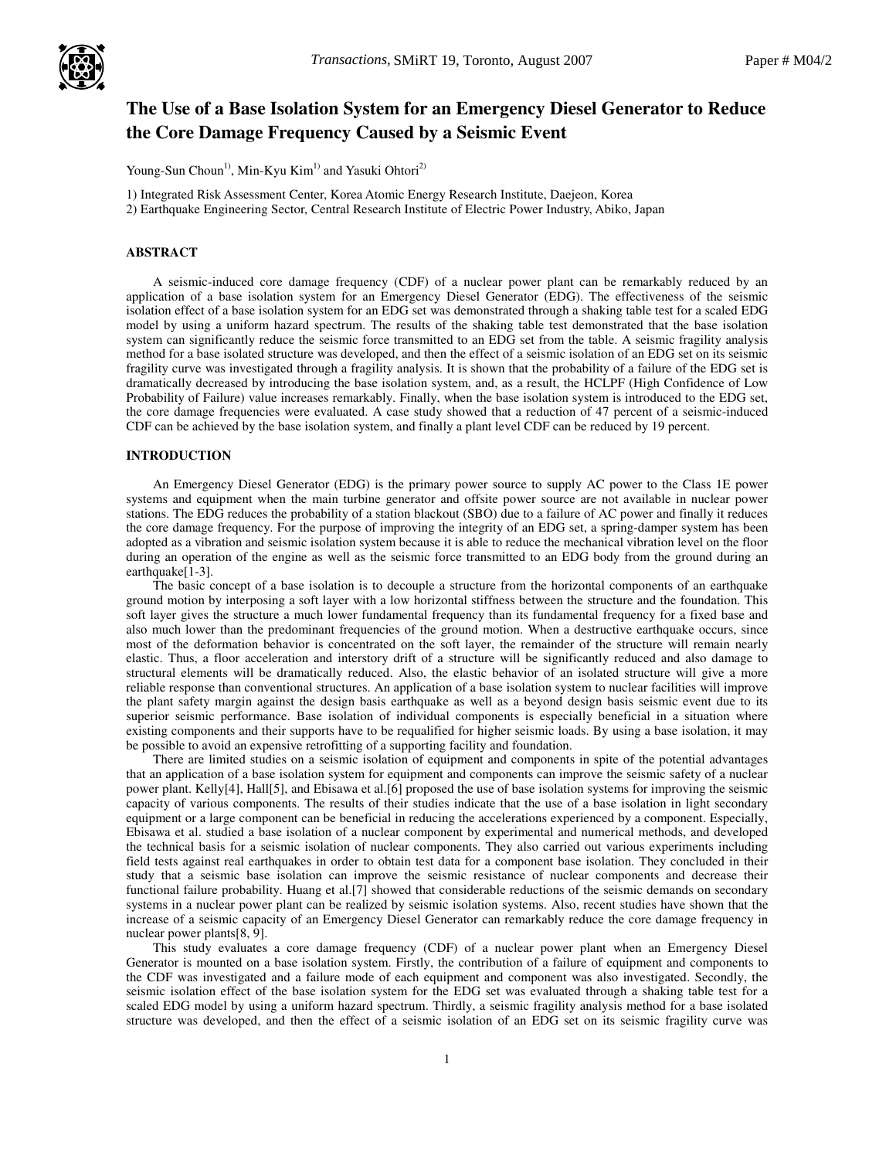

# **The Use of a Base Isolation System for an Emergency Diesel Generator to Reduce the Core Damage Frequency Caused by a Seismic Event**

Young-Sun Choun<sup>1)</sup>, Min-Kyu Kim<sup>1)</sup> and Yasuki Ohtori<sup>2)</sup>

1) Integrated Risk Assessment Center, Korea Atomic Energy Research Institute, Daejeon, Korea

2) Earthquake Engineering Sector, Central Research Institute of Electric Power Industry, Abiko, Japan

# **ABSTRACT**

A seismic-induced core damage frequency (CDF) of a nuclear power plant can be remarkably reduced by an application of a base isolation system for an Emergency Diesel Generator (EDG). The effectiveness of the seismic isolation effect of a base isolation system for an EDG set was demonstrated through a shaking table test for a scaled EDG model by using a uniform hazard spectrum. The results of the shaking table test demonstrated that the base isolation system can significantly reduce the seismic force transmitted to an EDG set from the table. A seismic fragility analysis method for a base isolated structure was developed, and then the effect of a seismic isolation of an EDG set on its seismic fragility curve was investigated through a fragility analysis. It is shown that the probability of a failure of the EDG set is dramatically decreased by introducing the base isolation system, and, as a result, the HCLPF (High Confidence of Low Probability of Failure) value increases remarkably. Finally, when the base isolation system is introduced to the EDG set, the core damage frequencies were evaluated. A case study showed that a reduction of 47 percent of a seismic-induced CDF can be achieved by the base isolation system, and finally a plant level CDF can be reduced by 19 percent.

#### **INTRODUCTION**

An Emergency Diesel Generator (EDG) is the primary power source to supply AC power to the Class 1E power systems and equipment when the main turbine generator and offsite power source are not available in nuclear power stations. The EDG reduces the probability of a station blackout (SBO) due to a failure of AC power and finally it reduces the core damage frequency. For the purpose of improving the integrity of an EDG set, a spring-damper system has been adopted as a vibration and seismic isolation system because it is able to reduce the mechanical vibration level on the floor during an operation of the engine as well as the seismic force transmitted to an EDG body from the ground during an earthquake[1-3].

The basic concept of a base isolation is to decouple a structure from the horizontal components of an earthquake ground motion by interposing a soft layer with a low horizontal stiffness between the structure and the foundation. This soft layer gives the structure a much lower fundamental frequency than its fundamental frequency for a fixed base and also much lower than the predominant frequencies of the ground motion. When a destructive earthquake occurs, since most of the deformation behavior is concentrated on the soft layer, the remainder of the structure will remain nearly elastic. Thus, a floor acceleration and interstory drift of a structure will be significantly reduced and also damage to structural elements will be dramatically reduced. Also, the elastic behavior of an isolated structure will give a more reliable response than conventional structures. An application of a base isolation system to nuclear facilities will improve the plant safety margin against the design basis earthquake as well as a beyond design basis seismic event due to its superior seismic performance. Base isolation of individual components is especially beneficial in a situation where existing components and their supports have to be requalified for higher seismic loads. By using a base isolation, it may be possible to avoid an expensive retrofitting of a supporting facility and foundation.

There are limited studies on a seismic isolation of equipment and components in spite of the potential advantages that an application of a base isolation system for equipment and components can improve the seismic safety of a nuclear power plant. Kelly[4], Hall[5], and Ebisawa et al.[6] proposed the use of base isolation systems for improving the seismic capacity of various components. The results of their studies indicate that the use of a base isolation in light secondary equipment or a large component can be beneficial in reducing the accelerations experienced by a component. Especially, Ebisawa et al. studied a base isolation of a nuclear component by experimental and numerical methods, and developed the technical basis for a seismic isolation of nuclear components. They also carried out various experiments including field tests against real earthquakes in order to obtain test data for a component base isolation. They concluded in their study that a seismic base isolation can improve the seismic resistance of nuclear components and decrease their functional failure probability. Huang et al.[7] showed that considerable reductions of the seismic demands on secondary systems in a nuclear power plant can be realized by seismic isolation systems. Also, recent studies have shown that the increase of a seismic capacity of an Emergency Diesel Generator can remarkably reduce the core damage frequency in nuclear power plants[8, 9].

This study evaluates a core damage frequency (CDF) of a nuclear power plant when an Emergency Diesel Generator is mounted on a base isolation system. Firstly, the contribution of a failure of equipment and components to the CDF was investigated and a failure mode of each equipment and component was also investigated. Secondly, the seismic isolation effect of the base isolation system for the EDG set was evaluated through a shaking table test for a scaled EDG model by using a uniform hazard spectrum. Thirdly, a seismic fragility analysis method for a base isolated structure was developed, and then the effect of a seismic isolation of an EDG set on its seismic fragility curve was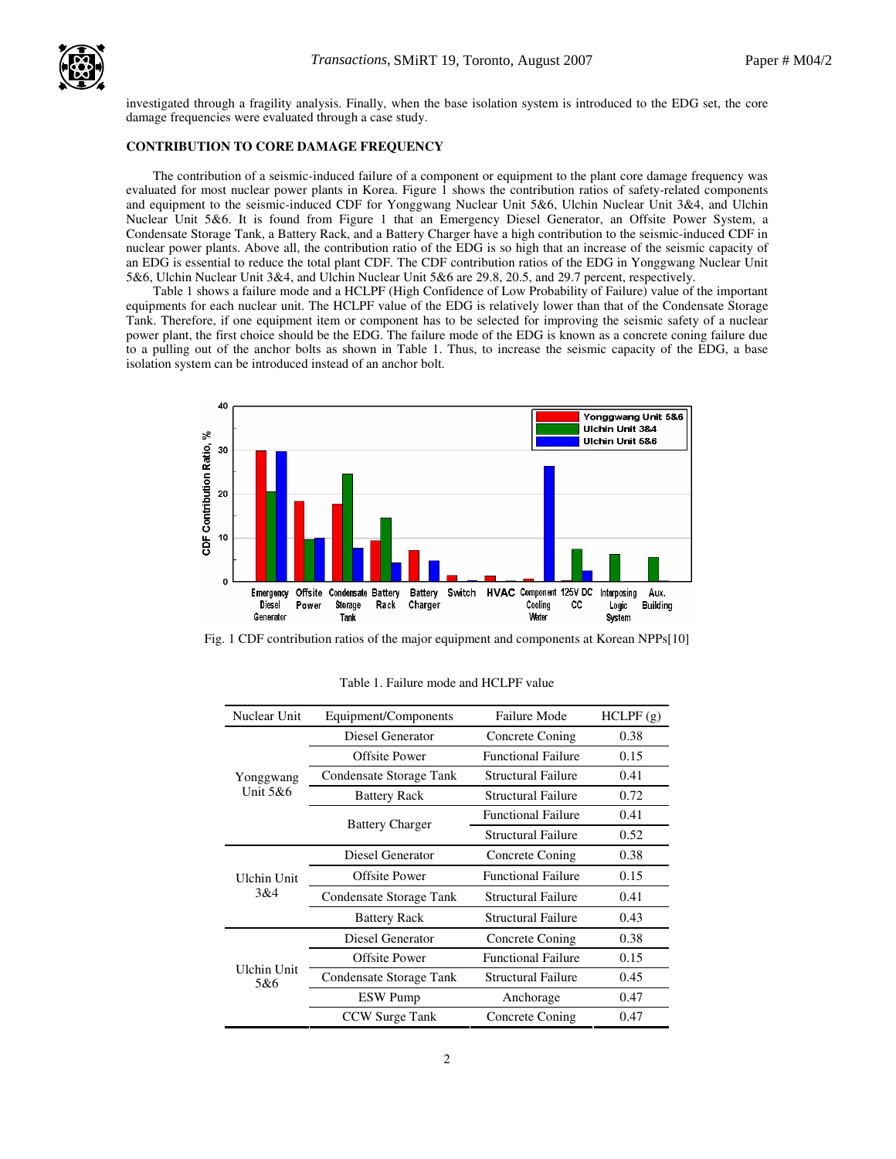

investigated through a fragility analysis. Finally, when the base isolation system is introduced to the EDG set, the core damage frequencies were evaluated through a case study.

# **CONTRIBUTION TO CORE DAMAGE FREQUENCY**

The contribution of a seismic-induced failure of a component or equipment to the plant core damage frequency was evaluated for most nuclear power plants in Korea. Figure 1 shows the contribution ratios of safety-related components and equipment to the seismic-induced CDF for Yonggwang Nuclear Unit 5&6, Ulchin Nuclear Unit 3&4, and Ulchin Nuclear Unit 5&6. It is found from Figure 1 that an Emergency Diesel Generator, an Offsite Power System, a Condensate Storage Tank, a Battery Rack, and a Battery Charger have a high contribution to the seismic-induced CDF in nuclear power plants. Above all, the contribution ratio of the EDG is so high that an increase of the seismic capacity of an EDG is essential to reduce the total plant CDF. The CDF contribution ratios of the EDG in Yonggwang Nuclear Unit 5&6, Ulchin Nuclear Unit 3&4, and Ulchin Nuclear Unit 5&6 are 29.8, 20.5, and 29.7 percent, respectively.

Table 1 shows a failure mode and a HCLPF (High Confidence of Low Probability of Failure) value of the important equipments for each nuclear unit. The HCLPF value of the EDG is relatively lower than that of the Condensate Storage Tank. Therefore, if one equipment item or component has to be selected for improving the seismic safety of a nuclear power plant, the first choice should be the EDG. The failure mode of the EDG is known as a concrete coning failure due to a pulling out of the anchor bolts as shown in Table 1. Thus, to increase the seismic capacity of the EDG, a base isolation system can be introduced instead of an anchor bolt.



Fig. 1 CDF contribution ratios of the major equipment and components at Korean NPPs[10]

| Nuclear Unit            | Equipment/Components                       | Failure Mode              | HCLPF(g) |
|-------------------------|--------------------------------------------|---------------------------|----------|
|                         | Diesel Generator                           | Concrete Coning           | 0.38     |
| Yonggwang<br>Unit $5&6$ | Offsite Power<br><b>Functional Failure</b> |                           | 0.15     |
|                         | Condensate Storage Tank                    | Structural Failure        |          |
|                         | <b>Battery Rack</b>                        | Structural Failure        | 0.72     |
|                         | <b>Battery Charger</b>                     | <b>Functional Failure</b> | 0.41     |
|                         |                                            | <b>Structural Failure</b> | 0.52     |
| Ulchin Unit<br>3&4      | Diesel Generator                           | Concrete Coning           | 0.38     |
|                         | Offsite Power                              | <b>Functional Failure</b> | 0.15     |
|                         | Condensate Storage Tank                    | Structural Failure        | 0.41     |
|                         | <b>Battery Rack</b>                        | <b>Structural Failure</b> | 0.43     |
| Ulchin Unit<br>5&6      | Diesel Generator                           | Concrete Coning           | 0.38     |
|                         | Offsite Power                              | <b>Functional Failure</b> | 0.15     |
|                         | Condensate Storage Tank                    | <b>Structural Failure</b> | 0.45     |
|                         | <b>ESW</b> Pump                            | Anchorage                 | 0.47     |
|                         | CCW Surge Tank                             | Concrete Coning           | 0.47     |

Table 1. Failure mode and HCLPF value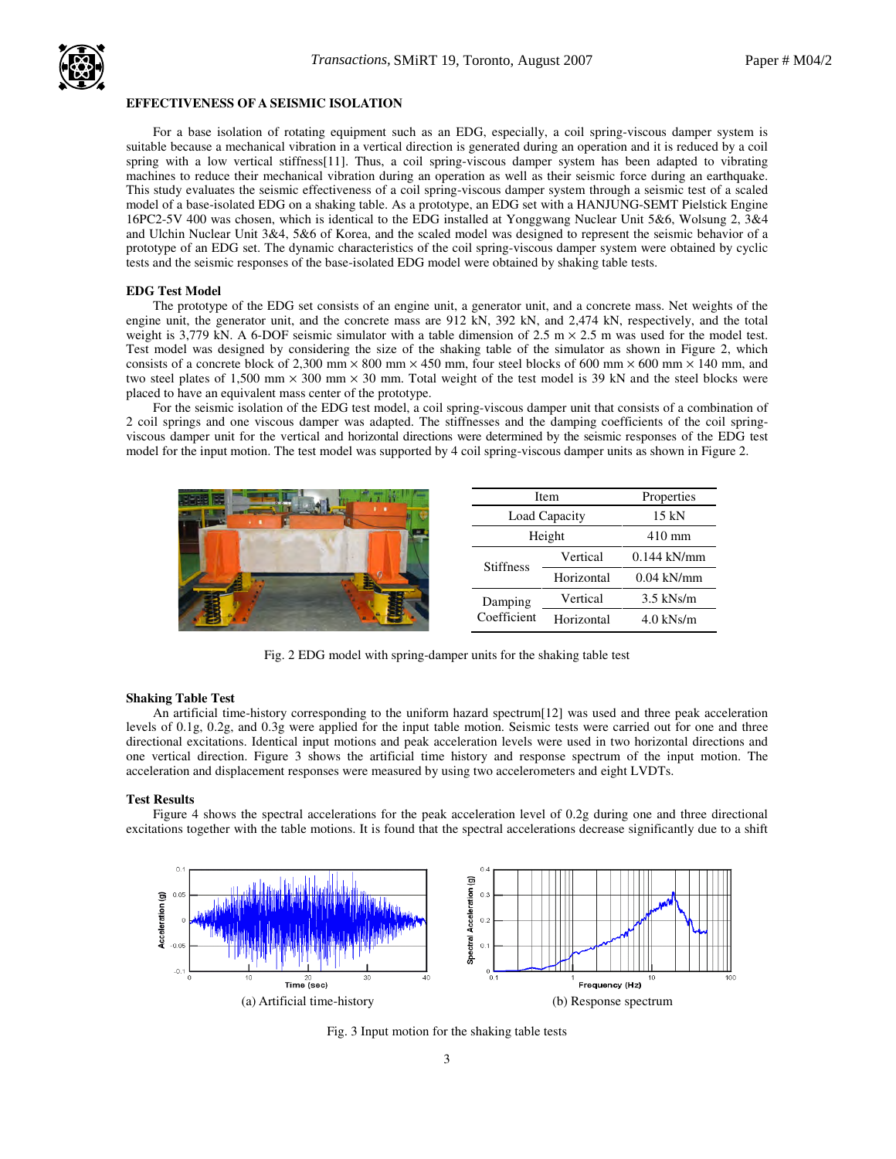# **EFFECTIVENESS OF A SEISMIC ISOLATION**

For a base isolation of rotating equipment such as an EDG, especially, a coil spring-viscous damper system is suitable because a mechanical vibration in a vertical direction is generated during an operation and it is reduced by a coil spring with a low vertical stiffness[11]. Thus, a coil spring-viscous damper system has been adapted to vibrating machines to reduce their mechanical vibration during an operation as well as their seismic force during an earthquake. This study evaluates the seismic effectiveness of a coil spring-viscous damper system through a seismic test of a scaled model of a base-isolated EDG on a shaking table. As a prototype, an EDG set with a HANJUNG-SEMT Pielstick Engine 16PC2-5V 400 was chosen, which is identical to the EDG installed at Yonggwang Nuclear Unit 5&6, Wolsung 2, 3&4 and Ulchin Nuclear Unit 3&4, 5&6 of Korea, and the scaled model was designed to represent the seismic behavior of a prototype of an EDG set. The dynamic characteristics of the coil spring-viscous damper system were obtained by cyclic tests and the seismic responses of the base-isolated EDG model were obtained by shaking table tests.

## **EDG Test Model**

The prototype of the EDG set consists of an engine unit, a generator unit, and a concrete mass. Net weights of the engine unit, the generator unit, and the concrete mass are 912 kN, 392 kN, and 2,474 kN, respectively, and the total weight is 3,779 kN. A 6-DOF seismic simulator with a table dimension of 2.5 m  $\times$  2.5 m was used for the model test. Test model was designed by considering the size of the shaking table of the simulator as shown in Figure 2, which consists of a concrete block of 2,300 mm  $\times$  800 mm  $\times$  450 mm, four steel blocks of 600 mm  $\times$  600 mm  $\times$  140 mm, and two steel plates of 1,500 mm  $\times$  300 mm  $\times$  30 mm. Total weight of the test model is 39 kN and the steel blocks were placed to have an equivalent mass center of the prototype.

For the seismic isolation of the EDG test model, a coil spring-viscous damper unit that consists of a combination of 2 coil springs and one viscous damper was adapted. The stiffnesses and the damping coefficients of the coil springviscous damper unit for the vertical and horizontal directions were determined by the seismic responses of the EDG test model for the input motion. The test model was supported by 4 coil spring-viscous damper units as shown in Figure 2.

|   |                  | Item          |                  |
|---|------------------|---------------|------------------|
| п |                  | Load Capacity | $15$ kN          |
|   | Height           |               | $410 \text{ mm}$ |
|   | <b>Stiffness</b> | Vertical      | $0.144$ kN/mm    |
|   |                  | Horizontal    | $0.04$ kN/mm     |
|   | Damping          | Vertical      | $3.5$ kNs/m      |
|   | Coefficient      | Horizontal    | $4.0$ kNs/m      |

Fig. 2 EDG model with spring-damper units for the shaking table test

## **Shaking Table Test**

An artificial time-history corresponding to the uniform hazard spectrum[12] was used and three peak acceleration levels of 0.1g, 0.2g, and 0.3g were applied for the input table motion. Seismic tests were carried out for one and three directional excitations. Identical input motions and peak acceleration levels were used in two horizontal directions and one vertical direction. Figure 3 shows the artificial time history and response spectrum of the input motion. The acceleration and displacement responses were measured by using two accelerometers and eight LVDTs.

#### **Test Results**

Figure 4 shows the spectral accelerations for the peak acceleration level of 0.2g during one and three directional excitations together with the table motions. It is found that the spectral accelerations decrease significantly due to a shift



Fig. 3 Input motion for the shaking table tests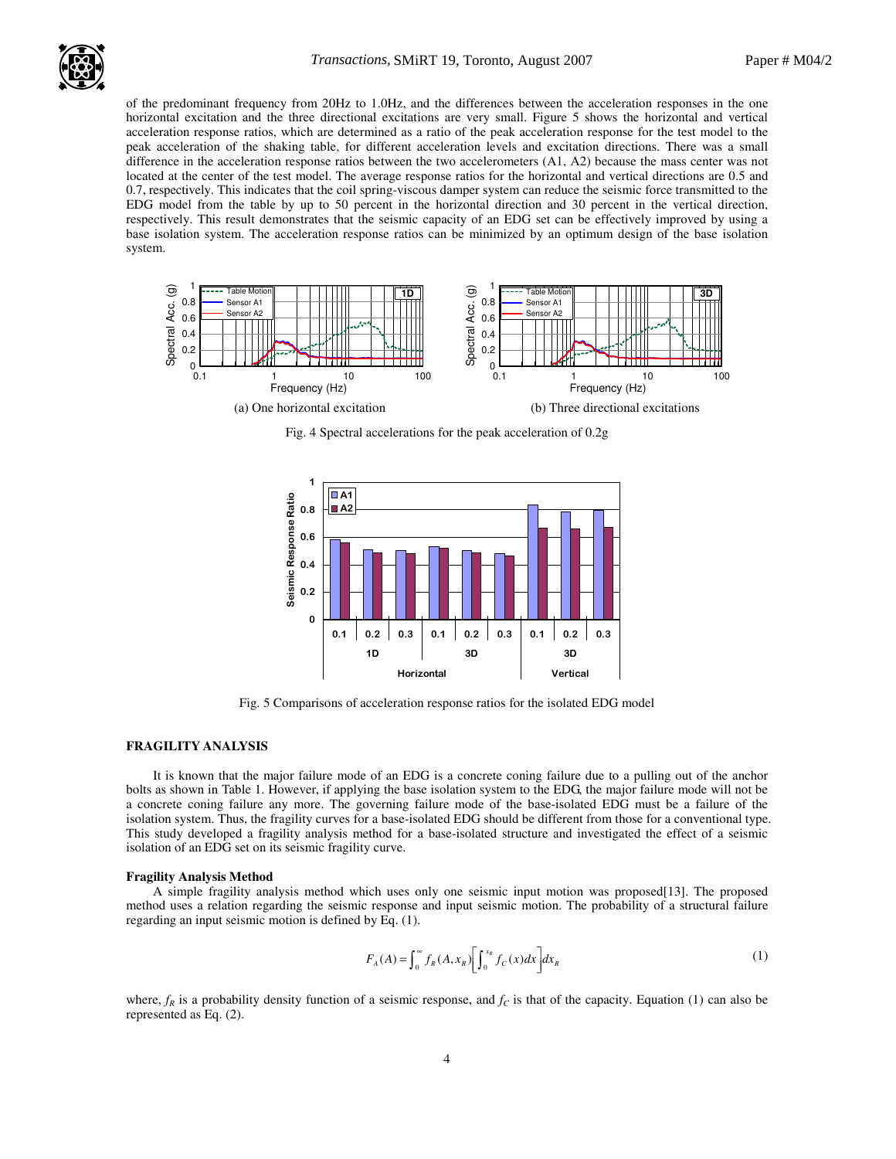

of the predominant frequency from 20Hz to 1.0Hz, and the differences between the acceleration responses in the one horizontal excitation and the three directional excitations are very small. Figure 5 shows the horizontal and vertical acceleration response ratios, which are determined as a ratio of the peak acceleration response for the test model to the peak acceleration of the shaking table, for different acceleration levels and excitation directions. There was a small difference in the acceleration response ratios between the two accelerometers (A1, A2) because the mass center was not located at the center of the test model. The average response ratios for the horizontal and vertical directions are 0.5 and 0.7, respectively. This indicates that the coil spring-viscous damper system can reduce the seismic force transmitted to the EDG model from the table by up to 50 percent in the horizontal direction and 30 percent in the vertical direction, respectively. This result demonstrates that the seismic capacity of an EDG set can be effectively improved by using a base isolation system. The acceleration response ratios can be minimized by an optimum design of the base isolation system.



Fig. 4 Spectral accelerations for the peak acceleration of 0.2g



Fig. 5 Comparisons of acceleration response ratios for the isolated EDG model

# **FRAGILITY ANALYSIS**

It is known that the major failure mode of an EDG is a concrete coning failure due to a pulling out of the anchor bolts as shown in Table 1. However, if applying the base isolation system to the EDG, the major failure mode will not be a concrete coning failure any more. The governing failure mode of the base-isolated EDG must be a failure of the isolation system. Thus, the fragility curves for a base-isolated EDG should be different from those for a conventional type. This study developed a fragility analysis method for a base-isolated structure and investigated the effect of a seismic isolation of an EDG set on its seismic fragility curve.

## **Fragility Analysis Method**

A simple fragility analysis method which uses only one seismic input motion was proposed[13]. The proposed method uses a relation regarding the seismic response and input seismic motion. The probability of a structural failure regarding an input seismic motion is defined by Eq. (1).

$$
F_A(A) = \int_0^\infty f_R(A, x_R) \left[ \int_0^{x_R} f_C(x) dx \right] dx_R
$$
 (1)

where,  $f_R$  is a probability density function of a seismic response, and  $f_C$  is that of the capacity. Equation (1) can also be represented as Eq. (2).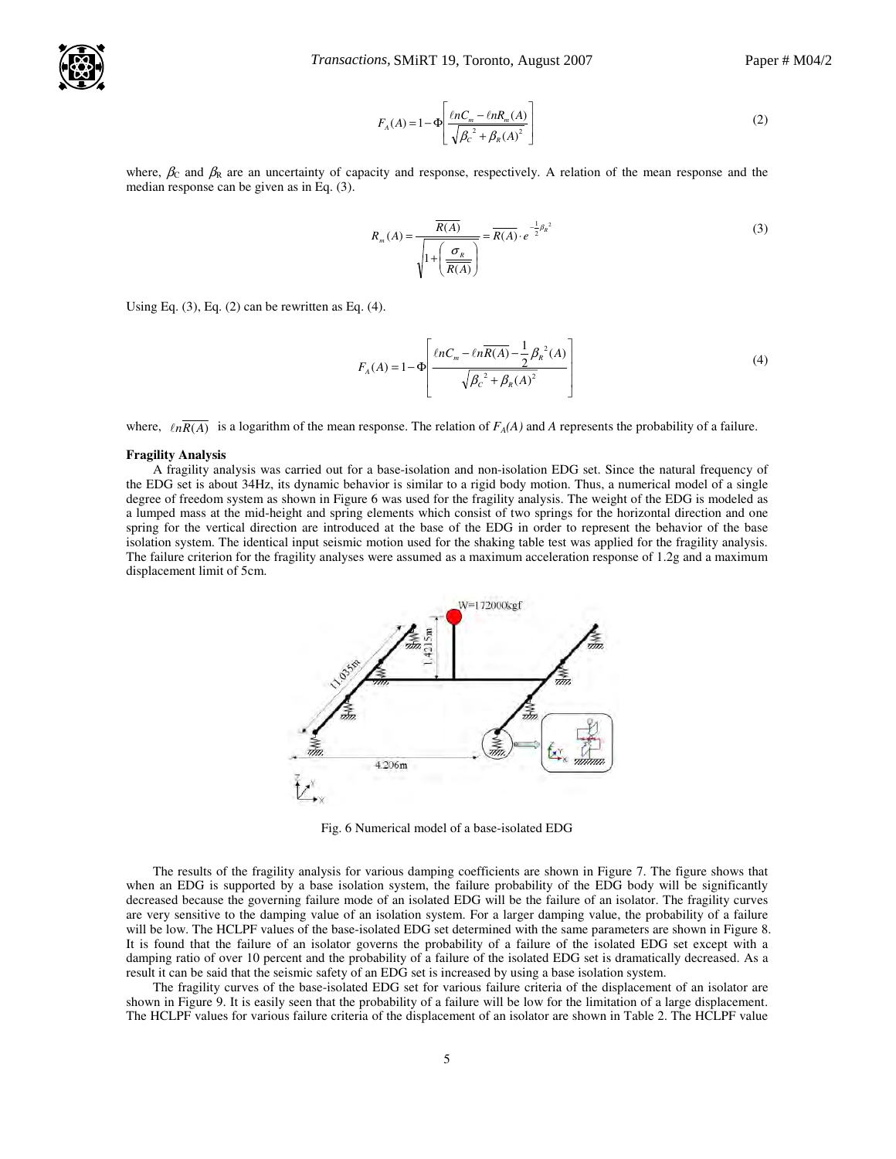$$
F_A(A) = 1 - \Phi\left[\frac{\ln C_m - \ln R_m(A)}{\sqrt{\beta_c^2 + \beta_R(A)^2}}\right]
$$
 (2)

where,  $\beta_c$  and  $\beta_R$  are an uncertainty of capacity and response, respectively. A relation of the mean response and the median response can be given as in Eq. (3).

$$
R_m(A) = \frac{\overline{R(A)}}{\sqrt{1 + \left(\frac{\sigma_R}{\overline{R(A)}}\right)}} = \overline{R(A)} \cdot e^{-\frac{1}{2}\beta_R^2}
$$
\n(3)

Using Eq. (3), Eq. (2) can be rewritten as Eq. (4).

$$
F_A(A) = 1 - \Phi \left[ \frac{\ln C_m - \ln \overline{R(A)} - \frac{1}{2} \beta_R^{2}(A)}{\sqrt{\beta_c^{2} + \beta_R(A)^{2}}} \right]
$$
(4)

where,  $\ln R(A)$  is a logarithm of the mean response. The relation of  $F_A(A)$  and A represents the probability of a failure.

#### **Fragility Analysis**

A fragility analysis was carried out for a base-isolation and non-isolation EDG set. Since the natural frequency of the EDG set is about 34Hz, its dynamic behavior is similar to a rigid body motion. Thus, a numerical model of a single degree of freedom system as shown in Figure 6 was used for the fragility analysis. The weight of the EDG is modeled as a lumped mass at the mid-height and spring elements which consist of two springs for the horizontal direction and one spring for the vertical direction are introduced at the base of the EDG in order to represent the behavior of the base isolation system. The identical input seismic motion used for the shaking table test was applied for the fragility analysis. The failure criterion for the fragility analyses were assumed as a maximum acceleration response of 1.2g and a maximum displacement limit of 5cm.



Fig. 6 Numerical model of a base-isolated EDG

The results of the fragility analysis for various damping coefficients are shown in Figure 7. The figure shows that when an EDG is supported by a base isolation system, the failure probability of the EDG body will be significantly decreased because the governing failure mode of an isolated EDG will be the failure of an isolator. The fragility curves are very sensitive to the damping value of an isolation system. For a larger damping value, the probability of a failure will be low. The HCLPF values of the base-isolated EDG set determined with the same parameters are shown in Figure 8. It is found that the failure of an isolator governs the probability of a failure of the isolated EDG set except with a damping ratio of over 10 percent and the probability of a failure of the isolated EDG set is dramatically decreased. As a result it can be said that the seismic safety of an EDG set is increased by using a base isolation system.

The fragility curves of the base-isolated EDG set for various failure criteria of the displacement of an isolator are shown in Figure 9. It is easily seen that the probability of a failure will be low for the limitation of a large displacement. The HCLPF values for various failure criteria of the displacement of an isolator are shown in Table 2. The HCLPF value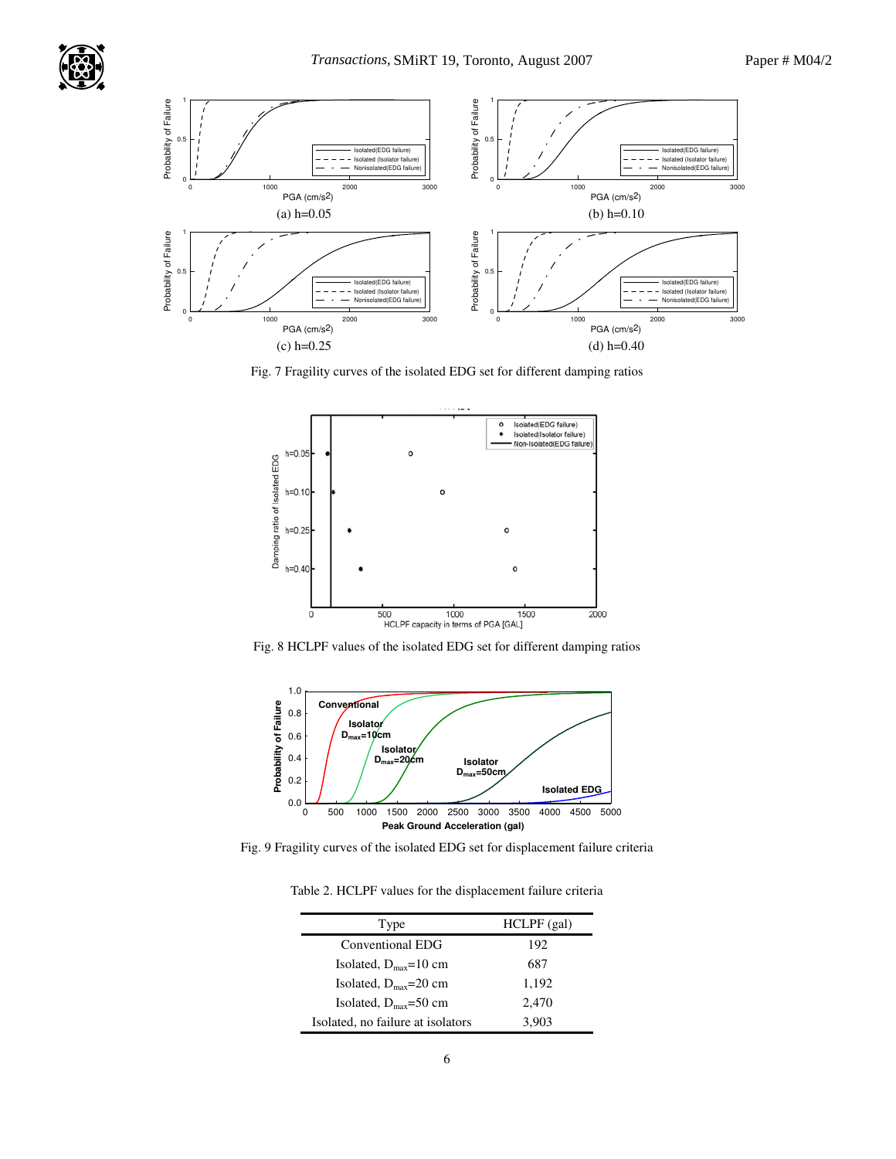



Fig. 7 Fragility curves of the isolated EDG set for different damping ratios



Fig. 8 HCLPF values of the isolated EDG set for different damping ratios



Fig. 9 Fragility curves of the isolated EDG set for displacement failure criteria

Table 2. HCLPF values for the displacement failure criteria

| Type                               | $HCLPF$ (gal) |
|------------------------------------|---------------|
| Conventional EDG                   | 192           |
| Isolated, $D_{max}=10$ cm          | 687           |
| Isolated, $D_{\text{max}} = 20$ cm | 1,192         |
| Isolated, $D_{max}=50$ cm          | 2.470         |
| Isolated, no failure at isolators  | 3.903         |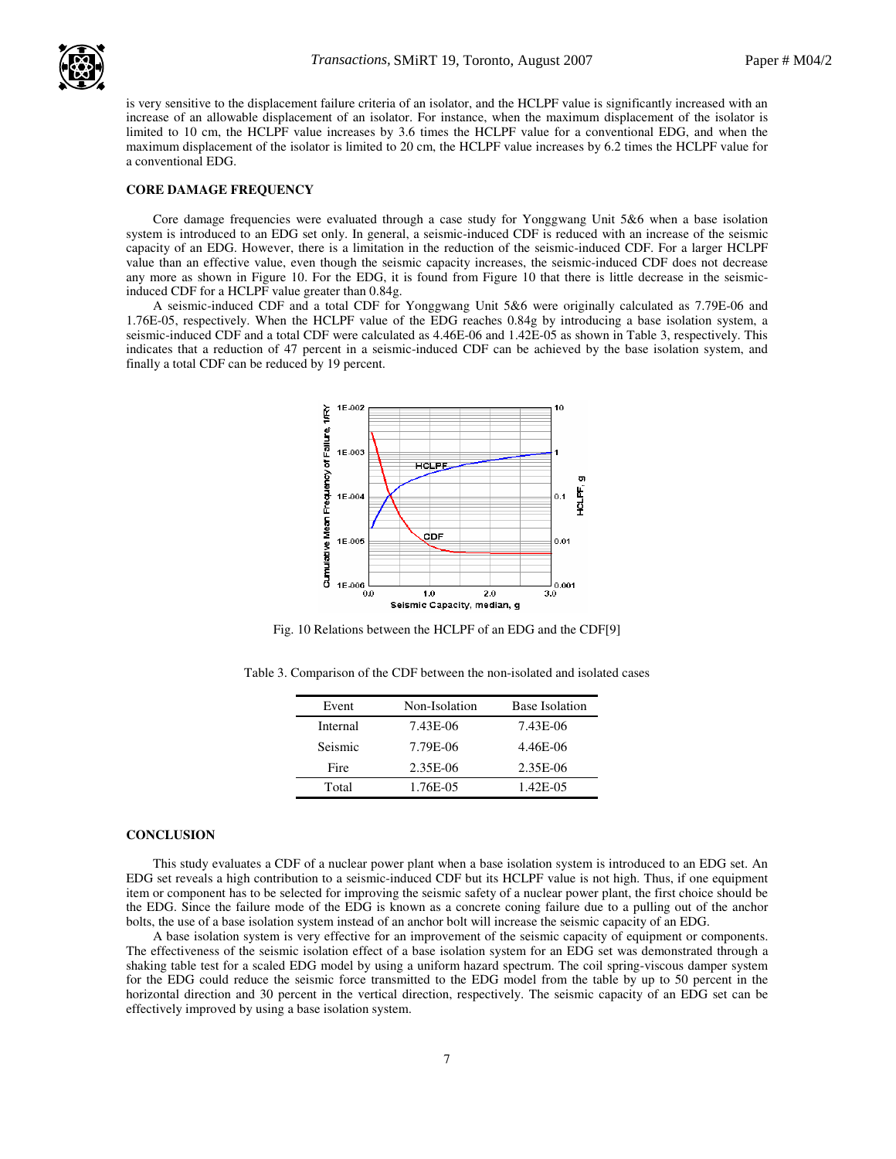

is very sensitive to the displacement failure criteria of an isolator, and the HCLPF value is significantly increased with an increase of an allowable displacement of an isolator. For instance, when the maximum displacement of the isolator is limited to 10 cm, the HCLPF value increases by 3.6 times the HCLPF value for a conventional EDG, and when the maximum displacement of the isolator is limited to 20 cm, the HCLPF value increases by 6.2 times the HCLPF value for a conventional EDG.

## **CORE DAMAGE FREQUENCY**

Core damage frequencies were evaluated through a case study for Yonggwang Unit 5&6 when a base isolation system is introduced to an EDG set only. In general, a seismic-induced CDF is reduced with an increase of the seismic capacity of an EDG. However, there is a limitation in the reduction of the seismic-induced CDF. For a larger HCLPF value than an effective value, even though the seismic capacity increases, the seismic-induced CDF does not decrease any more as shown in Figure 10. For the EDG, it is found from Figure 10 that there is little decrease in the seismicinduced CDF for a HCLPF value greater than 0.84g.

A seismic-induced CDF and a total CDF for Yonggwang Unit 5&6 were originally calculated as 7.79E-06 and 1.76E-05, respectively. When the HCLPF value of the EDG reaches 0.84g by introducing a base isolation system, a seismic-induced CDF and a total CDF were calculated as 4.46E-06 and 1.42E-05 as shown in Table 3, respectively. This indicates that a reduction of 47 percent in a seismic-induced CDF can be achieved by the base isolation system, and finally a total CDF can be reduced by 19 percent.



Fig. 10 Relations between the HCLPF of an EDG and the CDF[9]

| Event    | Non-Isolation | Base Isolation |
|----------|---------------|----------------|
| Internal | 7.43E-06      | 7.43E-06       |
| Seismic  | 7.79E-06      | 4.46E-06       |
| Fire     | 2.35E-06      | 2.35E-06       |
| Total    | 1.76E-05      | 1.42E-05       |

Table 3. Comparison of the CDF between the non-isolated and isolated cases

# **CONCLUSION**

This study evaluates a CDF of a nuclear power plant when a base isolation system is introduced to an EDG set. An EDG set reveals a high contribution to a seismic-induced CDF but its HCLPF value is not high. Thus, if one equipment item or component has to be selected for improving the seismic safety of a nuclear power plant, the first choice should be the EDG. Since the failure mode of the EDG is known as a concrete coning failure due to a pulling out of the anchor bolts, the use of a base isolation system instead of an anchor bolt will increase the seismic capacity of an EDG.

A base isolation system is very effective for an improvement of the seismic capacity of equipment or components. The effectiveness of the seismic isolation effect of a base isolation system for an EDG set was demonstrated through a shaking table test for a scaled EDG model by using a uniform hazard spectrum. The coil spring-viscous damper system for the EDG could reduce the seismic force transmitted to the EDG model from the table by up to 50 percent in the horizontal direction and 30 percent in the vertical direction, respectively. The seismic capacity of an EDG set can be effectively improved by using a base isolation system.